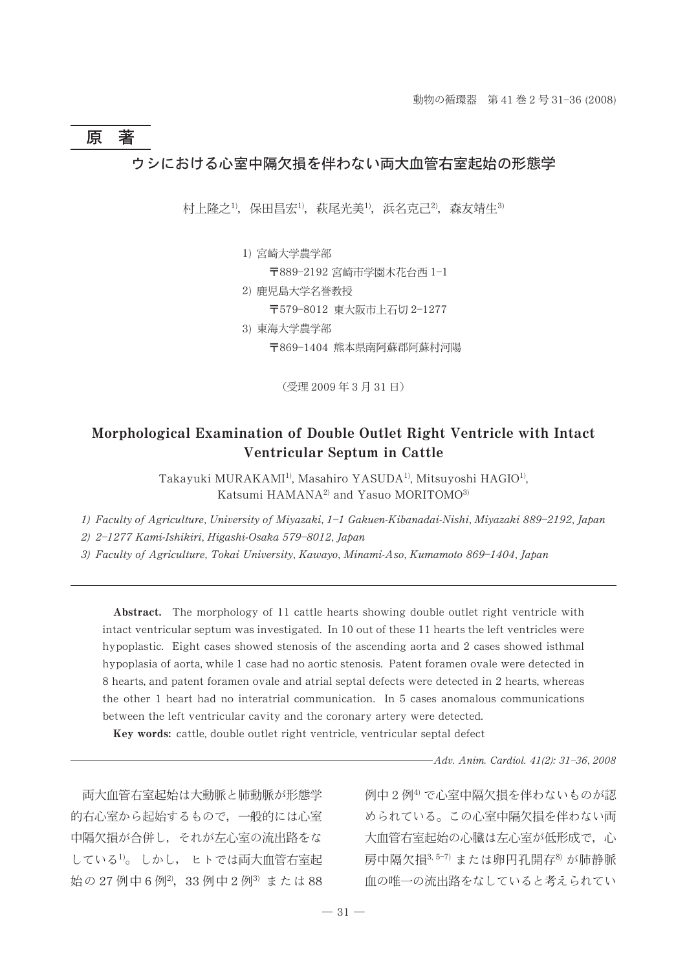# 原著 ウシにおける心室中隔欠損を伴わない両大血管右室起始の形態学

村上降之<sup>1)</sup>,保田昌宏<sup>1)</sup>,萩尾光美<sup>1)</sup>,浜名克己<sup>2)</sup>,森友靖生<sup>3)</sup>

1) 宮崎大学農学部

〒889-2192 宮崎市学園木花台西 1-1

2) 鹿児島大学名誉教授 〒579-8012 東大阪市上石切 2-1277 3) 東海大学農学部

〒869-1404 熊本県南阿蘇郡阿蘇村河陽

(受理 2009年3月31日)

## Morphological Examination of Double Outlet Right Ventricle with Intact Ventricular Septum in Cattle

Takayuki MURAKAMI1), Masahiro YASUDA1), Mitsuyoshi HAGIO1), Katsumi HAMANA<sup>2)</sup> and Yasuo MORITOMO<sup>3)</sup>

1) Faculty of Agriculture, University of Miyazaki, 1-1 Gakuen-Kibanadai-Nishi, Miyazaki 889-2192, Japan

2) 2-1277 Kami-Ishikiri, Higashi-Osaka 579-8012, Japan

3) Faculty of Agriculture, Tokai University, Kawayo, Minami-Aso, Kumamoto 869-1404, Japan

Abstract. The morphology of 11 cattle hearts showing double outlet right ventricle with intact ventricular septum was investigated. In 10 out of these 11 hearts the left ventricles were hypoplastic. Eight cases showed stenosis of the ascending aorta and 2 cases showed isthmal hypoplasia of aorta, while 1 case had no aortic stenosis. Patent foramen ovale were detected in 8 hearts, and patent foramen ovale and atrial septal defects were detected in 2 hearts, whereas the other 1 heart had no interatrial communication. In 5 cases anomalous communications between the left ventricular cavity and the coronary artery were detected.

Key words: cattle, double outlet right ventricle, ventricular septal defect

-Adv. Anim. Cardiol. 41(2): 31-36, 2008

両大血管右室起始は大動脈と肺動脈が形態学 的右心室から起始するもので、一般的には心室 中隔欠捐が合併し、それが左心室の流出路をな している1)。しかし、ヒトでは両大血管右室起 始の27 例中6例2, 33 例中2例3 または88 例中2例4) で心室中隔欠相を伴わないものが認 められている。この心室中隔欠損を伴わない両 大血管右室起始の心臓は左心室が低形成で、心 房中隔欠椙 $3$ , 5-7) または卵円孔開存 $8$ ) が肺静脈 血の唯一の流出路をなしていると考えられてい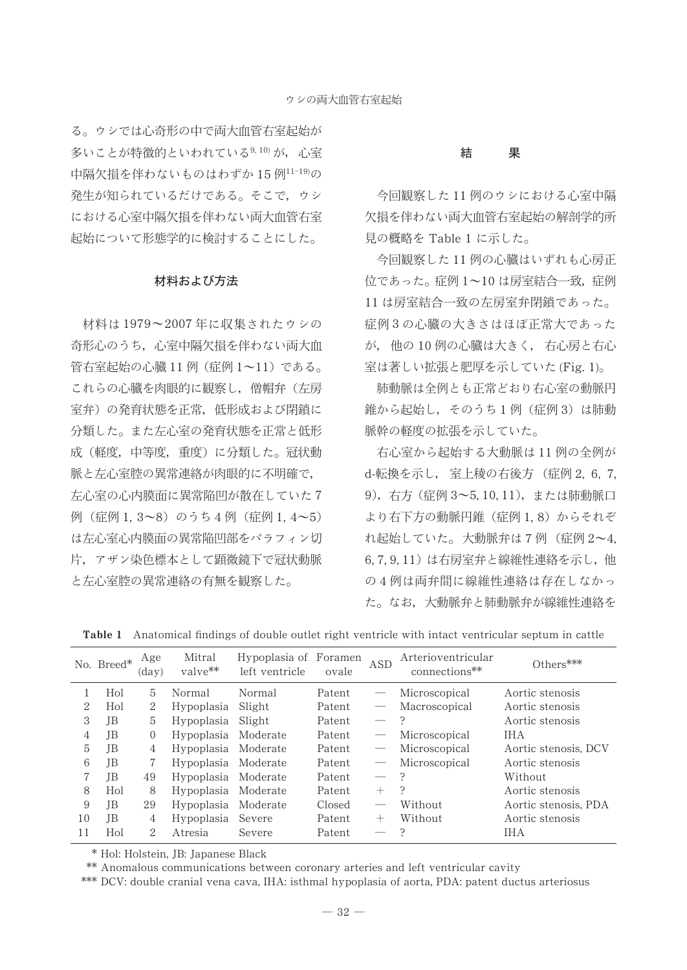る。ウシでは心奇形の中で両大血管右室起始が 多いことが特徴的といわれている<sup>9,10)</sup>が、心室 中隔欠相を伴わないものはわずか 15例11-19)の 発生が知られているだけである。そこで、ウシ における心室中隔欠損を伴わない両大血管右室 起始について形態学的に検討することにした。

### 材料および方法

材料は1979~2007年に収集されたウシの 奇形心のうち、心室中隔欠損を伴わない両大血 管右室起始の心臓11例 (症例1~11) である。 これらの心臓を肉眼的に観察し、僧帽弁(左房 室弁)の発育状態を正常、低形成および閉鎖に 分類した。また左心室の発育状態を正常と低形 成(軽度,中等度,重度)に分類した。冠状動 脈と左心室腔の異常連絡が肉眼的に不明確で, 左心室の心内膜面に異常陥凹が散在していた7 例 (症例1,3~8) のうち4例 (症例1,4~5) は左心室心内膜面の異常陥凹部をパラフィン切 片、アザン染色標本として顕微鏡下で冠状動脈 と左心室腔の異常連絡の有無を観察した。

#### 結 果

今回観察した11例のウシにおける心室中隔 欠損を伴わない両大血管右室起始の解剖学的所 見の概略を Table 1 に示した。

今回観察した11例の心臓はいずれも心房正 位であった。症例 1~10 は房室結合一致,症例 11 は房室結合一致の左房室弁閉鎖であった。 症例3の心臓の大きさはほぼ正常大であった が,他の10例の心臓は大きく,右心房と右心 室は著しい拡張と肥厚を示していた (Fig. 1)。

肺動脈は全例とも正常どおり右心室の動脈円 錐から起始し、そのうち1例 (症例3)は肺動 脈幹の軽度の拡張を示していた。

右心室から起始する大動脈は11例の全例が d-転換を示し、室上稜の右後方 (症例 2, 6, 7, 9), 右方 (症例 3~5, 10, 11), または肺動脈口 より右下方の動脈円錐 (症例1,8)からそれぞ れ起始していた。大動脈弁は7例 (症例2~4, 6,7,9,11)は右房室弁と線維性連絡を示し、他 の4例は両弁間に線維性連絡は存在しなかっ た。なお、大動脈弁と肺動脈弁が線維性連絡を

|    | No. Breed* | Age<br>$\rm (day)$ | Mitral<br>$value**$ | Hypoplasia of Foramen<br>left ventricle | ovale  | <b>ASD</b>                      | Arterioventricular<br>connections** | $Others***$          |
|----|------------|--------------------|---------------------|-----------------------------------------|--------|---------------------------------|-------------------------------------|----------------------|
|    | Hol        | 5                  | Normal              | Normal                                  | Patent |                                 | Microscopical                       | Aortic stenosis      |
| 2  | Hol        | 2                  | Hypoplasia          | Slight                                  | Patent | $\qquad \qquad \longleftarrow$  | Macroscopical                       | Aortic stenosis      |
| 3  | JВ         | 5                  | Hypoplasia          | Slight                                  | Patent | $\qquad \qquad -$               | 2                                   | Aortic stenosis      |
| 4  | JВ         | $\Omega$           | Hypoplasia          | Moderate                                | Patent |                                 | Microscopical                       | <b>IHA</b>           |
| 5  | JB         | 4                  | Hypoplasia          | Moderate                                | Patent | $\hspace{0.1mm}-\hspace{0.1mm}$ | Microscopical                       | Aortic stenosis, DCV |
| 6  | JВ         | 7                  | Hypoplasia          | Moderate                                | Patent | $\hspace{0.1mm}-\hspace{0.1mm}$ | Microscopical                       | Aortic stenosis      |
|    | JΒ         | 49                 | Hypoplasia          | Moderate                                | Patent | $\qquad \qquad -$               | $\mathcal{P}$                       | Without              |
| 8  | Hol        | 8                  | Hypoplasia          | Moderate                                | Patent | $^{+}$                          | $\cdot$                             | Aortic stenosis      |
| 9  | JΒ         | 29                 | Hypoplasia          | Moderate                                | Closed |                                 | Without                             | Aortic stenosis, PDA |
| 10 | JΒ         | 4                  | Hypoplasia          | Severe                                  | Patent | $^+$                            | Without                             | Aortic stenosis      |
| 11 | Hol        | 2                  | Atresia             | Severe                                  | Patent |                                 |                                     | <b>IHA</b>           |

Table 1 Anatomical findings of double outlet right ventricle with intact ventricular septum in cattle

\* Hol: Holstein, JB: Japanese Black

\*\* Anomalous communications between coronary arteries and left ventricular cavity

\*\*\* DCV; double cranial vena cava, IHA; isthmal hypoplasia of aorta, PDA; patent ductus arteriosus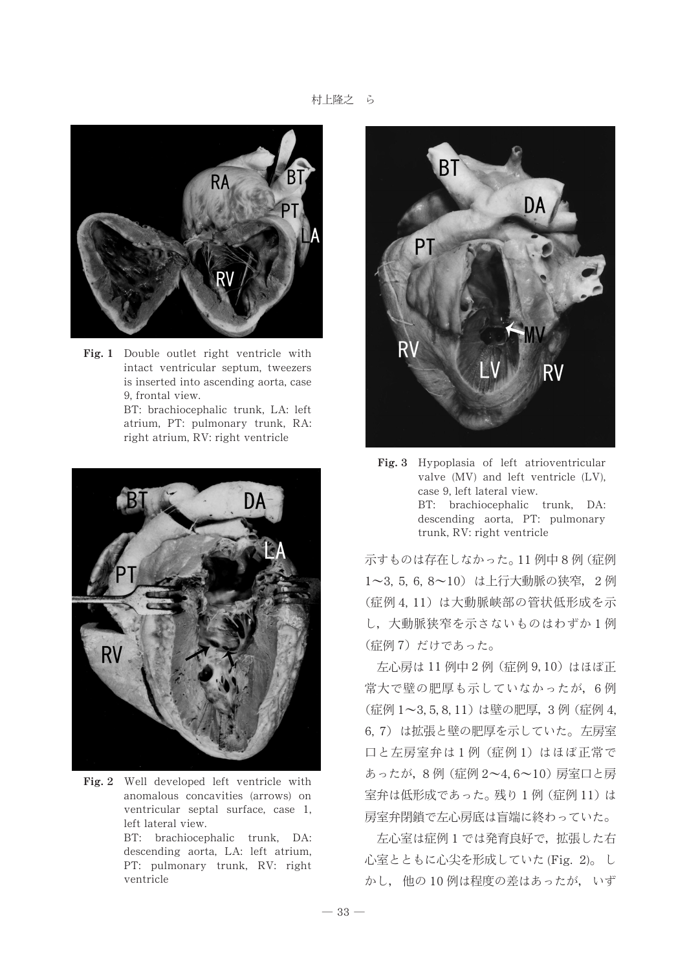

Fig. 1 Double outlet right ventricle with intact ventricular septum, tweezers is inserted into ascending aorta, case 9, frontal view.

> BT: brachiocephalic trunk, LA: left atrium, PT: pulmonary trunk, RA: right atrium, RV: right ventricle



Fig. 2 Well developed left ventricle with anomalous concavities (arrows) on ventricular septal surface, case 1, left lateral view. BT: brachiocephalic trunk, DA:

descending aorta, LA: left atrium, PT: pulmonary trunk, RV: right ventricle



Fig. 3 Hypoplasia of left atrioventricular valve (MV) and left ventricle (LV), case 9, left lateral view. BT: brachiocephalic trunk, DA: descending aorta, PT: pulmonary trunk, RV: right ventricle

示すものは存在しなかった。11 例中8例 (症例 1~3, 5, 6, 8~10) は上行大動脈の狭窄, 2例 (症例4,11)は大動脈峡部の管状低形成を示 し、大動脈狭窄を示さないものはわずか1例 (症例7)だけであった。

左心房は 11 例中 2 例 (症例 9,10) はほぼ正 常大で壁の肥厚も示していなかったが、6例 (症例 1~3, 5, 8, 11) は壁の肥厚, 3例 (症例 4, 6,7)は拡張と壁の肥厚を示していた。左房室 口と左房室弁は1例 (症例1) はほぼ正常で あったが, 8例 (症例 2~4, 6~10) 房室口と房 室弁は低形成であった。残り1例 (症例 11) は 房室弁閉鎖で左心房底は盲端に終わっていた。

左心室は症例1では発育良好で、拡張した右 心室とともに心尖を形成していた (Fig. 2)。し かし、他の10例は程度の差はあったが、いず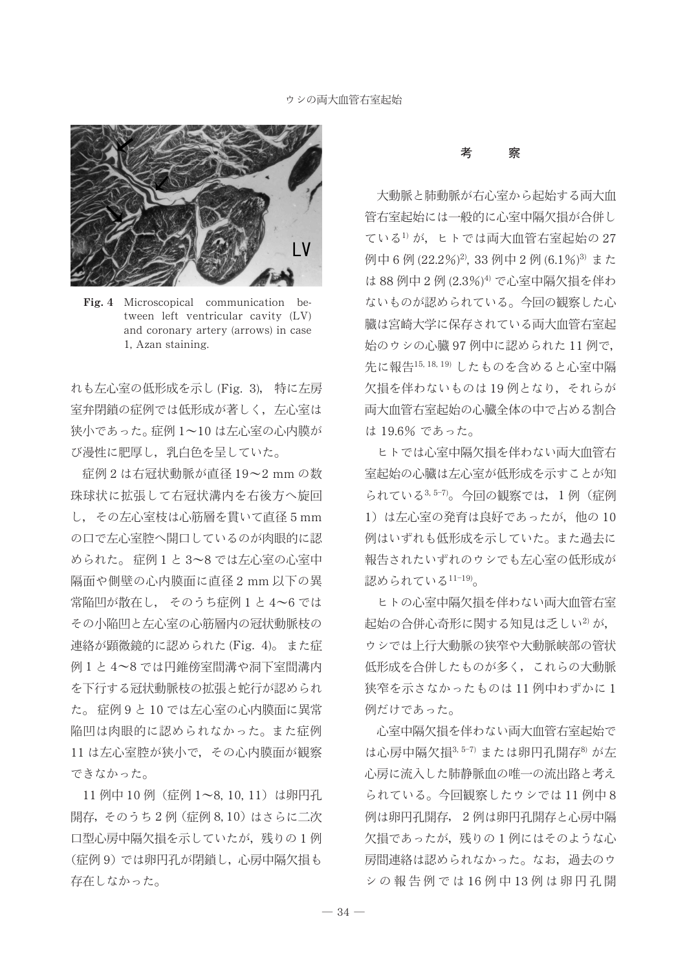

Fig. 4 Microscopical communication between left ventricular cavity (LV) and coronary artery (arrows) in case 1, Azan staining.

れも左心室の低形成を示し (Fig. 3), 特に左房 室弁閉鎖の症例では低形成が著しく、左心室は 狭小であった。症例1~10は左心室の心内膜が び漫性に肥厚し、乳白色を呈していた。

症例2は右冠状動脈が直径 19~2 mmの数 珠球状に拡張して右冠状溝内を右後方へ旋回 し、その左心室枝は心筋層を貫いて直径5mm の口で左心室腔へ開口しているのが肉眼的に認 められた。症例1と3~8では左心室の心室中 隔面や側壁の心内膜面に直径2mm以下の異 常陥凹が散在し、そのうち症例1と4~6では その小陥凹と左心室の心筋層内の冠状動脈枝の 連絡が顕微鏡的に認められた(Fig. 4)。また症 例1と4~8では円錐傍室間溝や洞下室間溝内 を下行する冠状動脈枝の拡張と蛇行が認められ た。症例9と10では左心室の心内膜面に異常 陥凹は肉眼的に認められなかった。また症例 11 は左心室腔が狭小で、その心内膜面が観察 できなかった。

11 例中 10 例 (症例 1~8, 10, 11) は卵円孔 開存, そのうち2例 (症例 8,10) はさらに二次 口型心房中隔欠相を示していたが、残りの1例 (症例9)では卵円孔が閉鎖し、心房中隔欠損も 存在しなかった。

#### 考 察

大動脈と肺動脈が右心室から起始する両大血 管右室起始には一般的に心室中隔欠指が合併し ている1)が、ヒトでは両大血管右室起始の27 例中6例(22.2%)2, 33例中2例(6.1%)3 また は88例中2例(2.3%)4)で心室中隔欠相を伴わ ないものが認められている。今回の観察した心 臓は宮崎大学に保存されている両大血管右室起 始のウシの心臓 97 例中に認められた 11 例で, 先に報告15,18,19) したものを含めると心室中隔 欠損を伴わないものは19例となり、それらが 両大血管右室起始の心臓全体の中で占める割合 は 19.6% であった。

ヒトでは心室中隔欠損を伴わない両大血管右 室起始の心臓は左心室が低形成を示すことが知 られている3,5-7)。今回の観察では、1例(症例 1) は左心室の発育は良好であったが、他の10 例はいずれも低形成を示していた。また過去に 報告されたいずれのウシでも左心室の低形成が 認められている11-19)。

ヒトの心室中隔欠損を伴わない両大血管右室 起始の合併心奇形に関する知見は乏しい<sup>2)</sup>が, ウシでは上行大動脈の狭窄や大動脈峡部の管状 低形成を合併したものが多く、これらの大動脈 狭窄を示さなかったものは11例中わずかに1 例だけであった。

心室中隔欠損を伴わない両大血管右室起始で は心房中隔欠損3,5-7) または卵円孔開存8) が左 心房に流入した肺静脈血の唯一の流出路と考え られている。今回観察したウシでは 11 例中8 例は卵円孔開存、2例は卵円孔開存と心房中隔 欠損であったが、残りの1例にはそのような心 房間連絡は認められなかった。なお、過去のウ シの報告例では16例中13例は卵円孔開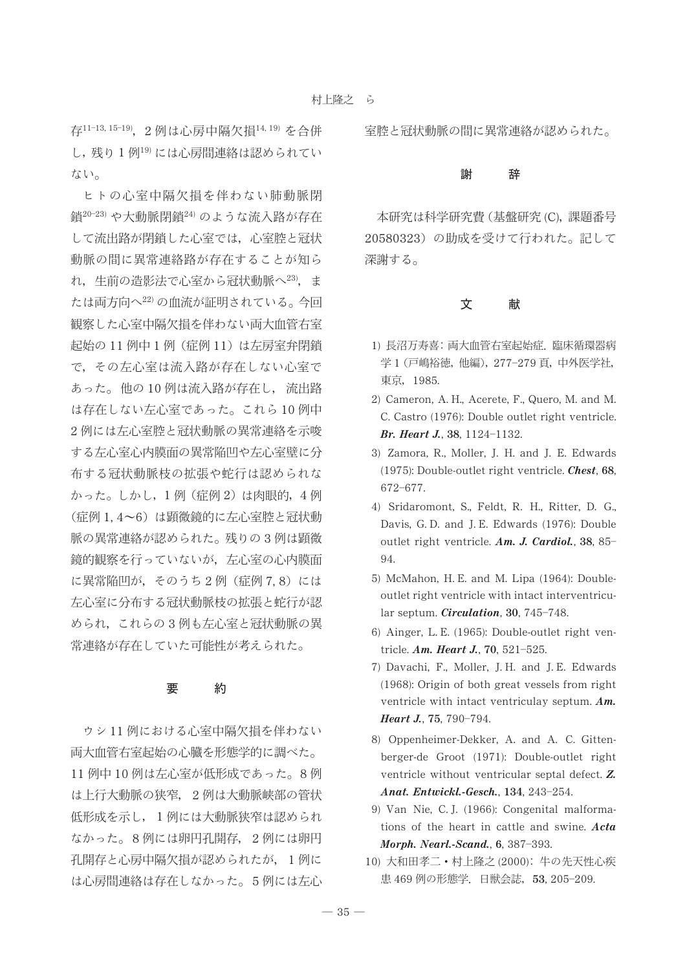存11-13, 15-19), 2例は心房中隔欠相14, 19) を合併 し、残り1例19)には心房間連絡は認められてい ない。

ヒトの心室中隔欠損を伴わない肺動脈閉 銷20-23) や大動脈閉銷24) のような流入路が存在 して流出路が閉鎖した心室では、心室腔と冠状 動脈の間に異常連絡路が存在することが知ら れ、生前の造影法で心室から冠状動脈へ23), ま たは両方向へ22)の血流が証明されている。今回 観察した心室中隔欠損を伴わない両大血管右室 起始の 11 例中 1 例(症例 11)は左房室弁閉鎖 で、その左心室は流入路が存在しない心室で あった。他の10例は流入路が存在し、流出路 は存在しない左心室であった。これら10例中 2例には左心室腔と冠状動脈の異常連絡を示唆 する左心室心内膜面の異常陥凹や左心室壁に分 布する冠状動脈枝の拡張や蛇行は認められな かった。しかし、1例 (症例2)は肉眼的,4例 (症例1,4~6)は顕微鏡的に左心室腔と冠状動 脈の異常連絡が認められた。残りの3例は顕微 鏡的観察を行っていないが、左心室の心内膜面 に異常陥凹が、そのうち2例 (症例7,8)には 左心室に分布する冠状動脈枝の拡張と蛇行が認 められ、これらの3例も左心室と冠状動脈の異 常連絡が存在していた可能性が考えられた。

#### 要 約

ウシ11例における心室中隔欠指を伴わない 両大血管右室起始の心臓を形態学的に調べた。 11 例中 10 例は左心室が低形成であった。8例 は上行大動脈の狭窄, 2例は大動脈峡部の管状 低形成を示し、1例には大動脈狭窄は認められ なかった。8例には卵円孔開存、2例には卵円 孔開存と心房中隔欠損が認められたが、1例に は心房間連絡は存在しなかった。5例には左心 室腔と冠状動脈の間に異常連絡が認められた。

#### 辞 謝

本研究は科学研究費 (基盤研究 (C), 課題番号 20580323)の助成を受けて行われた。記して 深謝する。

#### 文 献

- 1) 長沼万寿喜: 両大血管右室起始症. 臨床循環器病 学1 (戸嶋裕徳, 他編), 277-279頁, 中外医学社, 東京, 1985.
- 2) Cameron, A. H., Acerete, F., Quero, M. and M. C. Castro (1976): Double outlet right ventricle. Br. Heart J., 38, 1124-1132.
- 3) Zamora, R., Moller, J. H. and J. E. Edwards (1975): Double-outlet right ventricle. Chest, 68, 672-677.
- 4) Sridaromont, S., Feldt, R. H., Ritter, D. G., Davis, G.D. and J.E. Edwards (1976): Double outlet right ventricle. Am. J. Cardiol., 38, 85- $94$
- 5) McMahon, H. E. and M. Lipa (1964): Doubleoutlet right ventricle with intact interventricular septum. Circulation, 30, 745-748.
- 6) Ainger, L. E. (1965): Double-outlet right ventricle. Am. Heart J., 70, 521-525.
- 7) Davachi, F., Moller, J.H. and J.E. Edwards (1968): Origin of both great vessels from right ventricle with intact ventriculay septum.  $Am$ . Heart J., 75, 790-794.
- 8) Oppenheimer-Dekker, A. and A. C. Gittenberger-de Groot (1971): Double-outlet right ventricle without ventricular septal defect. Z. Anat. Entwickl.-Gesch., 134, 243-254.
- 9) Van Nie, C. J. (1966): Congenital malformations of the heart in cattle and swine. Acta Morph. Nearl.-Scand., 6, 387-393.
- 10) 大和田孝二·村上隆之 (2000): 牛の先天性心疾 患 469 例の形態学. 日獣会誌, 53, 205-209.